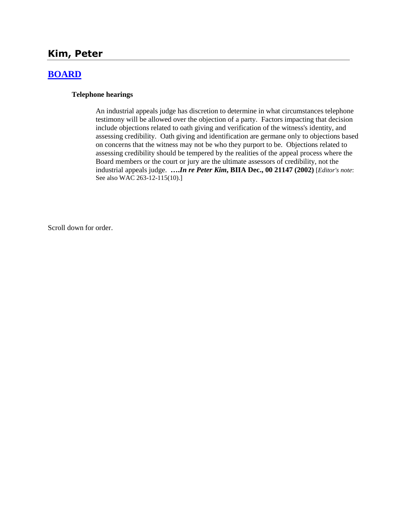# **Kim, Peter**

# **[BOARD](http://www.biia.wa.gov/SDSubjectIndex.html#BOARD)**

#### **Telephone hearings**

An industrial appeals judge has discretion to determine in what circumstances telephone testimony will be allowed over the objection of a party. Factors impacting that decision include objections related to oath giving and verification of the witness's identity, and assessing credibility. Oath giving and identification are germane only to objections based on concerns that the witness may not be who they purport to be. Objections related to assessing credibility should be tempered by the realities of the appeal process where the Board members or the court or jury are the ultimate assessors of credibility, not the industrial appeals judge. **….***In re Peter Kim***, BIIA Dec., 00 21147 (2002)** [*Editor's note*: See also WAC 263-12-115(10).]

Scroll down for order.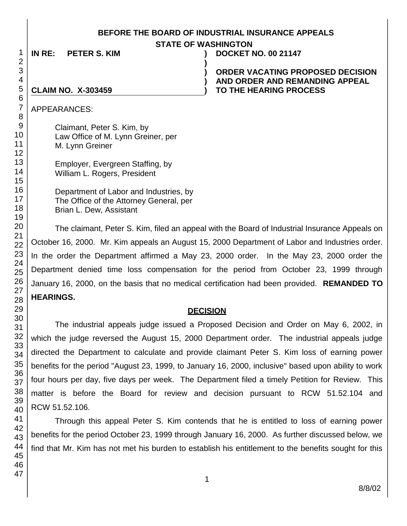#### **BEFORE THE BOARD OF INDUSTRIAL INSURANCE APPEALS**

**STATE OF WASHINGTON**

**)**

**) ) )**

**IN RE: PETER S. KIM ) DOCKET NO. 00 21147**

**ORDER VACATING PROPOSED DECISION AND ORDER AND REMANDING APPEAL TO THE HEARING PROCESS** 

#### **CLAIM NO. X-303459**

APPEARANCES:

Claimant, Peter S. Kim, by Law Office of M. Lynn Greiner, per M. Lynn Greiner

Employer, Evergreen Staffing, by William L. Rogers, President

Department of Labor and Industries, by The Office of the Attorney General, per Brian L. Dew, Assistant

The claimant, Peter S. Kim, filed an appeal with the Board of Industrial Insurance Appeals on October 16, 2000. Mr. Kim appeals an August 15, 2000 Department of Labor and Industries order. In the order the Department affirmed a May 23, 2000 order. In the May 23, 2000 order the Department denied time loss compensation for the period from October 23, 1999 through January 16, 2000, on the basis that no medical certification had been provided. **REMANDED TO HEARINGS.**

## **DECISION**

The industrial appeals judge issued a Proposed Decision and Order on May 6, 2002, in which the judge reversed the August 15, 2000 Department order. The industrial appeals judge directed the Department to calculate and provide claimant Peter S. Kim loss of earning power benefits for the period "August 23, 1999, to January 16, 2000, inclusive" based upon ability to work four hours per day, five days per week. The Department filed a timely Petition for Review. This matter is before the Board for review and decision pursuant to RCW 51.52.104 and RCW 51.52.106.

Through this appeal Peter S. Kim contends that he is entitled to loss of earning power benefits for the period October 23, 1999 through January 16, 2000. As further discussed below, we find that Mr. Kim has not met his burden to establish his entitlement to the benefits sought for this

1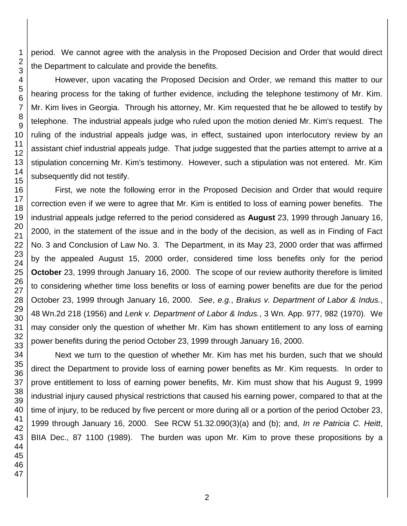period. We cannot agree with the analysis in the Proposed Decision and Order that would direct the Department to calculate and provide the benefits.

However, upon vacating the Proposed Decision and Order, we remand this matter to our hearing process for the taking of further evidence, including the telephone testimony of Mr. Kim. Mr. Kim lives in Georgia. Through his attorney, Mr. Kim requested that he be allowed to testify by telephone. The industrial appeals judge who ruled upon the motion denied Mr. Kim's request. The ruling of the industrial appeals judge was, in effect, sustained upon interlocutory review by an assistant chief industrial appeals judge. That judge suggested that the parties attempt to arrive at a stipulation concerning Mr. Kim's testimony. However, such a stipulation was not entered. Mr. Kim subsequently did not testify.

First, we note the following error in the Proposed Decision and Order that would require correction even if we were to agree that Mr. Kim is entitled to loss of earning power benefits. The industrial appeals judge referred to the period considered as **August** 23, 1999 through January 16, 2000, in the statement of the issue and in the body of the decision, as well as in Finding of Fact No. 3 and Conclusion of Law No. 3. The Department, in its May 23, 2000 order that was affirmed by the appealed August 15, 2000 order, considered time loss benefits only for the period **October** 23, 1999 through January 16, 2000. The scope of our review authority therefore is limited to considering whether time loss benefits or loss of earning power benefits are due for the period October 23, 1999 through January 16, 2000. *See*, *e.g.*, *Brakus v. Department of Labor & Indus.*, Wn.2d 218 (1956) and *Lenk v. Department of Labor & Indus.*, 3 Wn. App. 977, 982 (1970). We may consider only the question of whether Mr. Kim has shown entitlement to any loss of earning power benefits during the period October 23, 1999 through January 16, 2000.

Next we turn to the question of whether Mr. Kim has met his burden, such that we should direct the Department to provide loss of earning power benefits as Mr. Kim requests. In order to prove entitlement to loss of earning power benefits, Mr. Kim must show that his August 9, 1999 industrial injury caused physical restrictions that caused his earning power, compared to that at the time of injury, to be reduced by five percent or more during all or a portion of the period October 23, 1999 through January 16, 2000. See RCW 51.32.090(3)(a) and (b); and, *In re Patricia C. Heitt*, BIIA Dec., 87 1100 (1989). The burden was upon Mr. Kim to prove these propositions by a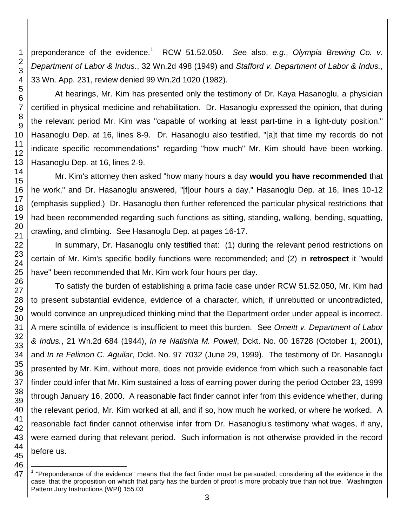preponderance of the evidence.<sup>1</sup> RCW 51.52.050. See also, e.g., Olympia Brewing Co. v. *Department of Labor & Indus.*, 32 Wn.2d 498 (1949) and *Stafford v. Department of Labor & Indus.*, 33 Wn. App. 231, review denied 99 Wn.2d 1020 (1982).

At hearings, Mr. Kim has presented only the testimony of Dr. Kaya Hasanoglu, a physician certified in physical medicine and rehabilitation. Dr. Hasanoglu expressed the opinion, that during the relevant period Mr. Kim was "capable of working at least part-time in a light-duty position." Hasanoglu Dep. at 16, lines 8-9. Dr. Hasanoglu also testified, "[a]t that time my records do not indicate specific recommendations" regarding "how much" Mr. Kim should have been working. Hasanoglu Dep. at 16, lines 2-9.

Mr. Kim's attorney then asked "how many hours a day **would you have recommended** that he work," and Dr. Hasanoglu answered, "[f]our hours a day." Hasanoglu Dep. at 16, lines 10-12 (emphasis supplied.) Dr. Hasanoglu then further referenced the particular physical restrictions that had been recommended regarding such functions as sitting, standing, walking, bending, squatting, crawling, and climbing. See Hasanoglu Dep. at pages 16-17.

In summary, Dr. Hasanoglu only testified that: (1) during the relevant period restrictions on certain of Mr. Kim's specific bodily functions were recommended; and (2) in **retrospect** it "would have" been recommended that Mr. Kim work four hours per day.

To satisfy the burden of establishing a prima facie case under RCW 51.52.050, Mr. Kim had to present substantial evidence, evidence of a character, which, if unrebutted or uncontradicted, would convince an unprejudiced thinking mind that the Department order under appeal is incorrect. A mere scintilla of evidence is insufficient to meet this burden. See *Omeitt v. Department of Labor & Indus.*, 21 Wn.2d 684 (1944), *In re Natishia M. Powell*, Dckt. No. 00 16728 (October 1, 2001), and *In re Felimon C. Aguilar*, Dckt. No. 97 7032 (June 29, 1999). The testimony of Dr. Hasanoglu presented by Mr. Kim, without more, does not provide evidence from which such a reasonable fact finder could infer that Mr. Kim sustained a loss of earning power during the period October 23, 1999 through January 16, 2000. A reasonable fact finder cannot infer from this evidence whether, during the relevant period, Mr. Kim worked at all, and if so, how much he worked, or where he worked. A reasonable fact finder cannot otherwise infer from Dr. Hasanoglu's testimony what wages, if any, were earned during that relevant period. Such information is not otherwise provided in the record before us.

l

<sup>45</sup> 46 47

<sup>&</sup>lt;sup>1</sup> "Preponderance of the evidence" means that the fact finder must be persuaded, considering all the evidence in the case, that the proposition on which that party has the burden of proof is more probably true than not true. Washington Pattern Jury Instructions (WPI) 155.03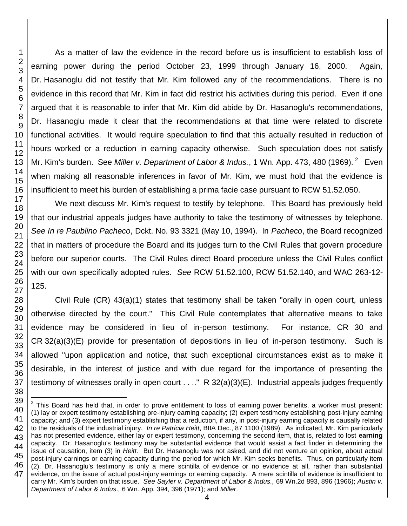l

As a matter of law the evidence in the record before us is insufficient to establish loss of earning power during the period October 23, 1999 through January 16, 2000. Again, Dr. Hasanoglu did not testify that Mr. Kim followed any of the recommendations. There is no evidence in this record that Mr. Kim in fact did restrict his activities during this period. Even if one argued that it is reasonable to infer that Mr. Kim did abide by Dr. Hasanoglu's recommendations, Dr. Hasanoglu made it clear that the recommendations at that time were related to discrete functional activities. It would require speculation to find that this actually resulted in reduction of hours worked or a reduction in earning capacity otherwise. Such speculation does not satisfy Mr. Kim's burden. See Miller v. Department of Labor & Indus., 1 Wn. App. 473, 480 (1969). <sup>2</sup> Even when making all reasonable inferences in favor of Mr. Kim, we must hold that the evidence is insufficient to meet his burden of establishing a prima facie case pursuant to RCW 51.52.050.

We next discuss Mr. Kim's request to testify by telephone. This Board has previously held that our industrial appeals judges have authority to take the testimony of witnesses by telephone. *See In re Paublino Pacheco*, Dckt. No. 93 3321 (May 10, 1994). In *Pacheco*, the Board recognized that in matters of procedure the Board and its judges turn to the Civil Rules that govern procedure before our superior courts. The Civil Rules direct Board procedure unless the Civil Rules conflict with our own specifically adopted rules. *See* RCW 51.52.100, RCW 51.52.140, and WAC 263-12- 125.

Civil Rule (CR) 43(a)(1) states that testimony shall be taken "orally in open court, unless otherwise directed by the court." This Civil Rule contemplates that alternative means to take evidence may be considered in lieu of in-person testimony. For instance, CR 30 and CR 32(a)(3)(E) provide for presentation of depositions in lieu of in-person testimony. Such is allowed "upon application and notice, that such exceptional circumstances exist as to make it desirable, in the interest of justice and with due regard for the importance of presenting the testimony of witnesses orally in open court . . .." R 32(a)(3)(E). Industrial appeals judges frequently

 $2$  This Board has held that, in order to prove entitlement to loss of earning power benefits, a worker must present: (1) lay or expert testimony establishing pre-injury earning capacity; (2) expert testimony establishing post-injury earning capacity; and (3) expert testimony establishing that a reduction, if any, in post-injury earning capacity is causally related to the residuals of the industrial injury. *In re Patricia Heitt*, BIIA Dec., 87 1100 (1989). As indicated, Mr. Kim particularly has not presented evidence, either lay or expert testimony, concerning the second item, that is, related to lost **earning** capacity. Dr. Hasanoglu's testimony may be substantial evidence that would assist a fact finder in determining the issue of causation, item (3) in *Heitt.* But Dr. Hasanoglu was not asked, and did not venture an opinion, about actual post-injury earnings or earning capacity during the period for which Mr. Kim seeks benefits. Thus, on particularly item (2), Dr. Hasanoglu's testimony is only a mere scintilla of evidence or no evidence at all, rather than substantial evidence, on the issue of actual post-injury earnings or earning capacity. A mere scintilla of evidence is insufficient to carry Mr. Kim's burden on that issue. *See Sayler v. Department of Labor & Indus.,* 69 Wn.2d 893, 896 (1966); *Austin v. Department of Labor & Indus*.*,* 6 Wn. App. 394, 396 (1971); and *Miller*.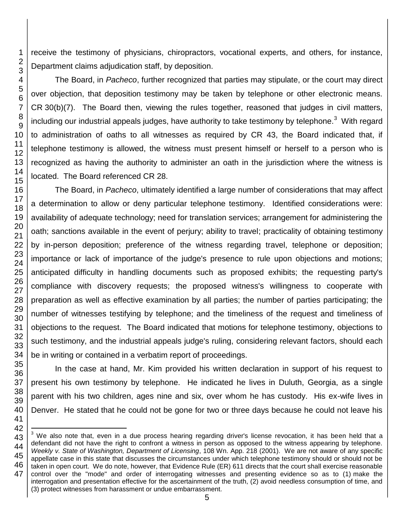receive the testimony of physicians, chiropractors, vocational experts, and others, for instance, Department claims adjudication staff, by deposition.

The Board, in *Pacheco*, further recognized that parties may stipulate, or the court may direct over objection, that deposition testimony may be taken by telephone or other electronic means. CR 30(b)(7). The Board then, viewing the rules together, reasoned that judges in civil matters, including our industrial appeals judges, have authority to take testimony by telephone.<sup>3</sup> With regard to administration of oaths to all witnesses as required by CR 43, the Board indicated that, if telephone testimony is allowed, the witness must present himself or herself to a person who is recognized as having the authority to administer an oath in the jurisdiction where the witness is located. The Board referenced CR 28.

The Board, in *Pacheco*, ultimately identified a large number of considerations that may affect a determination to allow or deny particular telephone testimony. Identified considerations were: availability of adequate technology; need for translation services; arrangement for administering the oath; sanctions available in the event of perjury; ability to travel; practicality of obtaining testimony by in-person deposition; preference of the witness regarding travel, telephone or deposition; importance or lack of importance of the judge's presence to rule upon objections and motions; anticipated difficulty in handling documents such as proposed exhibits; the requesting party's compliance with discovery requests; the proposed witness's willingness to cooperate with preparation as well as effective examination by all parties; the number of parties participating; the number of witnesses testifying by telephone; and the timeliness of the request and timeliness of objections to the request. The Board indicated that motions for telephone testimony, objections to such testimony, and the industrial appeals judge's ruling, considering relevant factors, should each be in writing or contained in a verbatim report of proceedings.

In the case at hand, Mr. Kim provided his written declaration in support of his request to present his own testimony by telephone. He indicated he lives in Duluth, Georgia, as a single parent with his two children, ages nine and six, over whom he has custody. His ex-wife lives in Denver. He stated that he could not be gone for two or three days because he could not leave his

l  $3$  We also note that, even in a due process hearing regarding driver's license revocation, it has been held that a defendant did not have the right to confront a witness in person as opposed to the witness appearing by telephone. *Weekly v. State of Washington, Department of Licensing*, 108 Wn. App. 218 (2001). We are not aware of any specific appellate case in this state that discusses the circumstances under which telephone testimony should or should not be taken in open court. We do note, however, that Evidence Rule (ER) 611 directs that the court shall exercise reasonable control over the "mode" and order of interrogating witnesses and presenting evidence so as to (1) make the interrogation and presentation effective for the ascertainment of the truth, (2) avoid needless consumption of time, and (3) protect witnesses from harassment or undue embarrassment.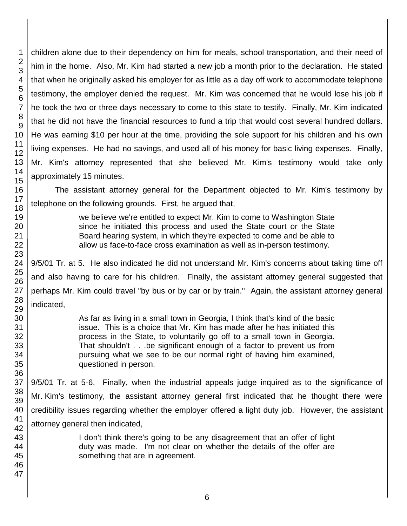children alone due to their dependency on him for meals, school transportation, and their need of him in the home. Also, Mr. Kim had started a new job a month prior to the declaration. He stated that when he originally asked his employer for as little as a day off work to accommodate telephone testimony, the employer denied the request. Mr. Kim was concerned that he would lose his job if he took the two or three days necessary to come to this state to testify. Finally, Mr. Kim indicated that he did not have the financial resources to fund a trip that would cost several hundred dollars. He was earning \$10 per hour at the time, providing the sole support for his children and his own living expenses. He had no savings, and used all of his money for basic living expenses. Finally, Mr. Kim's attorney represented that she believed Mr. Kim's testimony would take only approximately 15 minutes.

The assistant attorney general for the Department objected to Mr. Kim's testimony by telephone on the following grounds. First, he argued that,

> we believe we're entitled to expect Mr. Kim to come to Washington State since he initiated this process and used the State court or the State Board hearing system, in which they're expected to come and be able to allow us face-to-face cross examination as well as in-person testimony.

9/5/01 Tr. at 5. He also indicated he did not understand Mr. Kim's concerns about taking time off and also having to care for his children. Finally, the assistant attorney general suggested that perhaps Mr. Kim could travel "by bus or by car or by train." Again, the assistant attorney general indicated,

> As far as living in a small town in Georgia, I think that's kind of the basic issue. This is a choice that Mr. Kim has made after he has initiated this process in the State, to voluntarily go off to a small town in Georgia. That shouldn't . . .be significant enough of a factor to prevent us from pursuing what we see to be our normal right of having him examined, questioned in person.

9/5/01 Tr. at 5-6. Finally, when the industrial appeals judge inquired as to the significance of Mr. Kim's testimony, the assistant attorney general first indicated that he thought there were credibility issues regarding whether the employer offered a light duty job. However, the assistant attorney general then indicated,

> I don't think there's going to be any disagreement that an offer of light duty was made. I'm not clear on whether the details of the offer are something that are in agreement.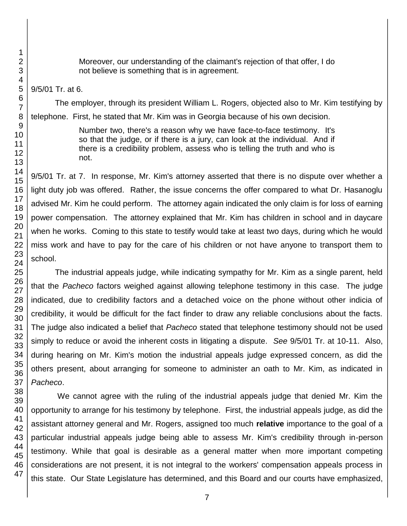Moreover, our understanding of the claimant's rejection of that offer, I do not believe is something that is in agreement.

#### 9/5/01 Tr. at 6.

The employer, through its president William L. Rogers, objected also to Mr. Kim testifying by telephone. First, he stated that Mr. Kim was in Georgia because of his own decision.

> Number two, there's a reason why we have face-to-face testimony. It's so that the judge, or if there is a jury, can look at the individual. And if there is a credibility problem, assess who is telling the truth and who is not.

9/5/01 Tr. at 7. In response, Mr. Kim's attorney asserted that there is no dispute over whether a light duty job was offered. Rather, the issue concerns the offer compared to what Dr. Hasanoglu advised Mr. Kim he could perform. The attorney again indicated the only claim is for loss of earning power compensation. The attorney explained that Mr. Kim has children in school and in daycare when he works. Coming to this state to testify would take at least two days, during which he would miss work and have to pay for the care of his children or not have anyone to transport them to school.

The industrial appeals judge, while indicating sympathy for Mr. Kim as a single parent, held that the *Pacheco* factors weighed against allowing telephone testimony in this case. The judge indicated, due to credibility factors and a detached voice on the phone without other indicia of credibility, it would be difficult for the fact finder to draw any reliable conclusions about the facts. The judge also indicated a belief that *Pacheco* stated that telephone testimony should not be used simply to reduce or avoid the inherent costs in litigating a dispute. *See* 9/5/01 Tr. at 10-11. Also, during hearing on Mr. Kim's motion the industrial appeals judge expressed concern, as did the others present, about arranging for someone to administer an oath to Mr. Kim, as indicated in *Pacheco*.

We cannot agree with the ruling of the industrial appeals judge that denied Mr. Kim the opportunity to arrange for his testimony by telephone. First, the industrial appeals judge, as did the assistant attorney general and Mr. Rogers, assigned too much **relative** importance to the goal of a particular industrial appeals judge being able to assess Mr. Kim's credibility through in-person testimony. While that goal is desirable as a general matter when more important competing considerations are not present, it is not integral to the workers' compensation appeals process in this state. Our State Legislature has determined, and this Board and our courts have emphasized,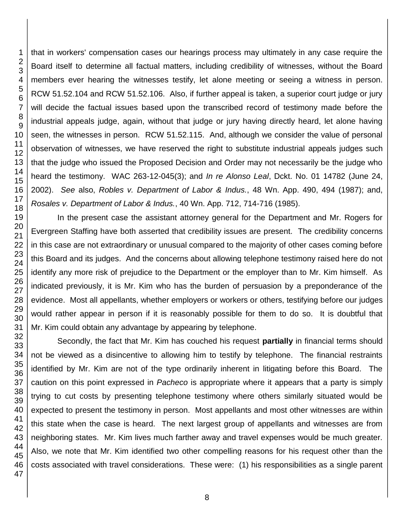that in workers' compensation cases our hearings process may ultimately in any case require the Board itself to determine all factual matters, including credibility of witnesses, without the Board members ever hearing the witnesses testify, let alone meeting or seeing a witness in person. RCW 51.52.104 and RCW 51.52.106. Also, if further appeal is taken, a superior court judge or jury will decide the factual issues based upon the transcribed record of testimony made before the industrial appeals judge, again, without that judge or jury having directly heard, let alone having seen, the witnesses in person. RCW 51.52.115. And, although we consider the value of personal observation of witnesses, we have reserved the right to substitute industrial appeals judges such that the judge who issued the Proposed Decision and Order may not necessarily be the judge who heard the testimony. WAC 263-12-045(3); and *In re Alonso Leal*, Dckt. No. 01 14782 (June 24, 2002). *See* also, *Robles v. Department of Labor & Indus.*, 48 Wn. App. 490, 494 (1987); and, *Rosales v. Department of Labor & Indus.*, 40 Wn. App. 712, 714-716 (1985). In the present case the assistant attorney general for the Department and Mr. Rogers for

Evergreen Staffing have both asserted that credibility issues are present. The credibility concerns in this case are not extraordinary or unusual compared to the majority of other cases coming before this Board and its judges. And the concerns about allowing telephone testimony raised here do not identify any more risk of prejudice to the Department or the employer than to Mr. Kim himself. As indicated previously, it is Mr. Kim who has the burden of persuasion by a preponderance of the evidence. Most all appellants, whether employers or workers or others, testifying before our judges would rather appear in person if it is reasonably possible for them to do so. It is doubtful that Mr. Kim could obtain any advantage by appearing by telephone.

Secondly, the fact that Mr. Kim has couched his request **partially** in financial terms should not be viewed as a disincentive to allowing him to testify by telephone. The financial restraints identified by Mr. Kim are not of the type ordinarily inherent in litigating before this Board. The caution on this point expressed in *Pacheco* is appropriate where it appears that a party is simply trying to cut costs by presenting telephone testimony where others similarly situated would be expected to present the testimony in person. Most appellants and most other witnesses are within this state when the case is heard. The next largest group of appellants and witnesses are from neighboring states. Mr. Kim lives much farther away and travel expenses would be much greater. Also, we note that Mr. Kim identified two other compelling reasons for his request other than the costs associated with travel considerations. These were: (1) his responsibilities as a single parent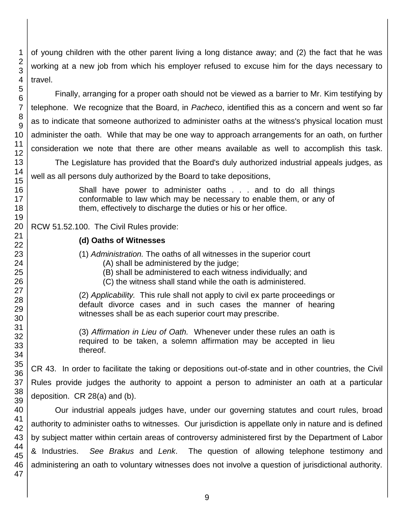of young children with the other parent living a long distance away; and (2) the fact that he was working at a new job from which his employer refused to excuse him for the days necessary to travel.

Finally, arranging for a proper oath should not be viewed as a barrier to Mr. Kim testifying by telephone. We recognize that the Board, in *Pacheco*, identified this as a concern and went so far as to indicate that someone authorized to administer oaths at the witness's physical location must administer the oath. While that may be one way to approach arrangements for an oath, on further consideration we note that there are other means available as well to accomplish this task.

The Legislature has provided that the Board's duly authorized industrial appeals judges, as well as all persons duly authorized by the Board to take depositions,

> Shall have power to administer oaths . . . and to do all things conformable to law which may be necessary to enable them, or any of them, effectively to discharge the duties or his or her office.

# RCW 51.52.100. The Civil Rules provide:

## **(d) Oaths of Witnesses**

(1) *Administration.* The oaths of all witnesses in the superior court (A) shall be administered by the judge;

(B) shall be administered to each witness individually; and

(C) the witness shall stand while the oath is administered.

(2) *Applicability.* This rule shall not apply to civil ex parte proceedings or default divorce cases and in such cases the manner of hearing witnesses shall be as each superior court may prescribe.

(3) *Affirmation in Lieu of Oath.* Whenever under these rules an oath is required to be taken, a solemn affirmation may be accepted in lieu thereof.

CR 43. In order to facilitate the taking or depositions out-of-state and in other countries, the Civil Rules provide judges the authority to appoint a person to administer an oath at a particular deposition. CR 28(a) and (b).

Our industrial appeals judges have, under our governing statutes and court rules, broad authority to administer oaths to witnesses. Our jurisdiction is appellate only in nature and is defined by subject matter within certain areas of controversy administered first by the Department of Labor & Industries. *See Brakus* and *Lenk*. The question of allowing telephone testimony and administering an oath to voluntary witnesses does not involve a question of jurisdictional authority.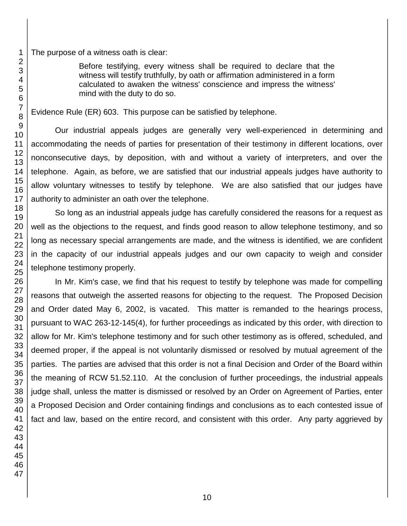The purpose of a witness oath is clear:

Before testifying, every witness shall be required to declare that the witness will testify truthfully, by oath or affirmation administered in a form calculated to awaken the witness' conscience and impress the witness' mind with the duty to do so.

Evidence Rule (ER) 603. This purpose can be satisfied by telephone.

Our industrial appeals judges are generally very well-experienced in determining and accommodating the needs of parties for presentation of their testimony in different locations, over nonconsecutive days, by deposition, with and without a variety of interpreters, and over the telephone. Again, as before, we are satisfied that our industrial appeals judges have authority to allow voluntary witnesses to testify by telephone. We are also satisfied that our judges have authority to administer an oath over the telephone.

So long as an industrial appeals judge has carefully considered the reasons for a request as well as the objections to the request, and finds good reason to allow telephone testimony, and so long as necessary special arrangements are made, and the witness is identified, we are confident in the capacity of our industrial appeals judges and our own capacity to weigh and consider telephone testimony properly.

In Mr. Kim's case, we find that his request to testify by telephone was made for compelling reasons that outweigh the asserted reasons for objecting to the request. The Proposed Decision and Order dated May 6, 2002, is vacated. This matter is remanded to the hearings process, pursuant to WAC 263-12-145(4), for further proceedings as indicated by this order, with direction to allow for Mr. Kim's telephone testimony and for such other testimony as is offered, scheduled, and deemed proper, if the appeal is not voluntarily dismissed or resolved by mutual agreement of the parties. The parties are advised that this order is not a final Decision and Order of the Board within the meaning of RCW 51.52.110. At the conclusion of further proceedings, the industrial appeals judge shall, unless the matter is dismissed or resolved by an Order on Agreement of Parties, enter a Proposed Decision and Order containing findings and conclusions as to each contested issue of fact and law, based on the entire record, and consistent with this order. Any party aggrieved by